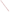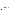# **Consumer Factsheet on: EPICHLOROHYDRIN**

# [List of Contaminants](http://www.epa.gov/safewater/hfacts.html)

 As part of the Drinking Water and Health pages, this fact sheet is part of a larger publication: **National Primary Drinking Water Regulations** 

 States Environmental Protection Agency (EPA). This is a factsheet about a chemical that may be found in some public or private drinking water supplies. It may cause health problems if found in amounts greater than the health standard set by the United

#### **What is Epichlorohydrin and how is it used?**

an insect fumigant. Epichlorohydrin is a colorless organic liquid with a pungent, garlic-like odor. The greatest use of epichlorohydrin is used to make glycerin and as a building block in making plastics and other polymers, some of which are used in water supply systems. It is also used in the paper and drug industries and as

an insect fumigant.<br>The list of trade names given below may help you find out whether you are using this chemical at home or work.

# **Trade Names and Synonyms:**

Chloromethyl-ethylene oxide Chloromethyl-oxirane Glycidyl chloride

# **Why is Epichlorohydrin being Regulated?**

 chemicals in drinking water which do or may cause health problems. These non-enforceable levels, based solely on possible health risks and exposure, are called Maximum Contaminant Level Goals. In 1974, Congress passed the Safe Drinking Water Act. This law requires EPA to determine safe levels of

The MCLG for epichlorohydrin has been set at zero because EPA believes this level of protection would not cause any of the potential health problems described below.

 epichlorohydrin is used in drinking water treatment processes, it is being controlled simply by limiting its There are currently no acceptable means of detecting epichlorohydrin in drinking water. In this case, EPA is requiring water suppliers to use a special treatment technique to control its amount in water. Since use for this purpose.

These drinking water standards and the regulations for ensuring these standards are met, are called National Primary Drinking Water Regulations. All public water supplies must abide by these regulations.

#### **What are the Health Effects?**

Short-term: EPA has found epichlorohydrin to potentially cause the following health effects when people are exposed to it at levels above the MCL for relatively short periods of time: skin irritation; detrimental effects on liver, kidneys, central nervous system.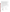Long-term: Epichlorohydrin has the potential to cause the following effects from a lifetime exposure at levels above the MCL: stomach, eye and skin irritation; chromosome aberrations; adverse changes in blood; cancer.

#### **How much Epichlorohydrin is produced and released to the environment?**

 Production and imports of epichlorohydrin in the mid-1980s totalled 511 million lbs. The main source of concern for epichlorohydrin in drinking water is from its use as a clarifier during water treatment. When added to water, it coagulates and traps suspended solids for easier removal. However, some epichlorohydrin may not coagulate and may remain in the water as a contaminant.

# **What happens to Epichlorohydrin when it is released to the environment?**

 sediments in water bodies. If spilled on land, it may leach into the groundwater but it is easily broken Epichlorohydrin readily evaporates from near-surface soils and surface waters. It will not bind to down by a number of chemical reactions. It will not accumulate in aquatic life.

# **How will Epichlorohydrin be Detected in and Removed from My Drinking Water?**

 The regulation for epichlorohydrin became effective in 1992. EPA requires your water supplier to show that when epichlorohydrin is added to water, the amount of uncoagulated epichlorohydrin is less than 2 ppb.

# **How will I know if Epichlorohydrin is in my drinking water?**

 If the treatment technique for epichlorohydrin fails, the system must notify the public via newspapers, be required to prevent serious risks to public health. radio, TV and other means. Additional actions, such as providing alternative drinking water supplies, may

#### **Drinking Water Standards:**

Mclg: zero

Mcl: Treatment Technique

#### **Epichlorohydrin Releases to Water and Land, 1987 to 1993 (in pounds):**

|                           |        | Water  | Land   |
|---------------------------|--------|--------|--------|
| <b>TOTALS</b> (in pounds) |        | 42,705 | 22,849 |
| <b>Top Five States</b>    |        |        |        |
| AL                        | 29,385 | 18,476 |        |
| LA                        | 6.924  | 2,663  |        |
| <b>NJ</b>                 | 2.164  | 16     |        |
| <b>TX</b>                 | 200    | 1.396  |        |
| AR.                       | 1.594  | 0      |        |
| <b>Major Industries</b>   |        |        |        |
| Industrial organics       |        | 25,137 | 14,941 |
| Plastics and resins       |        | 6,392  | 2,509  |
| Industrial inorganics     |        | 4,200  | 1,600  |
| Agricultural chemicals    |        | 2,207  | 1,532  |
| Alkalis, chlorine         |        | 2,100  | 1,033  |

#### **Learn more about your drinking water!**